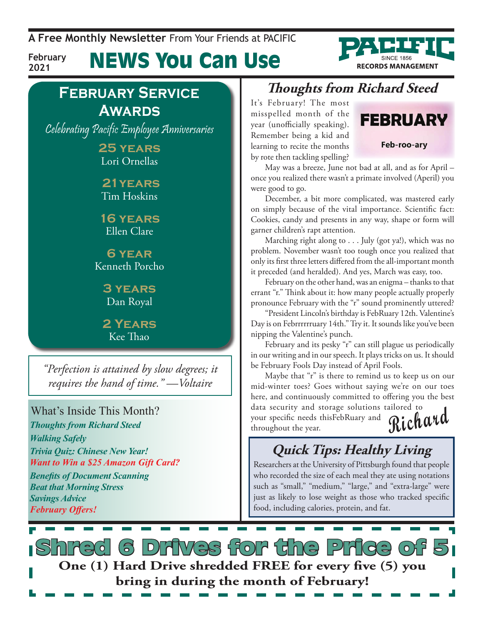**A Free Monthly Newsletter** From Your Friends at Pacific

**February 2021**

News You Can Use

### **February Service Awards**

Celebrating Pacific Employee Anniversaries

**25 years** Lori Ornellas

 **21years** Tim Hoskins

**16 years** Ellen Clare

**6 year** Kenneth Porcho

> **3 years** Dan Royal

**2 Years** Kee Thao

*"Perfection is attained by slow degrees; it requires the hand of time."* —*Voltaire*

What's Inside This Month? *Thoughts from Richard Steed Walking Safely Trivia Quiz: Chinese New Year! Want to Win a \$25 Amazon Gift Card? Benefits of Document Scanning Beat that Morning Stress Savings Advice February Offers!*

### **Thoughts from Richard Steed**

It's February! The most misspelled month of the year (unofficially speaking). Remember being a kid and learning to recite the months by rote then tackling spelling?



**RECORDS MANAGEMENT** 

May was a breeze, June not bad at all, and as for April – once you realized there wasn't a primate involved (Aperil) you were good to go.

December, a bit more complicated, was mastered early on simply because of the vital importance. Scientific fact: Cookies, candy and presents in any way, shape or form will garner children's rapt attention.

Marching right along to . . . July (got ya!), which was no problem. November wasn't too tough once you realized that only its first three letters differed from the all-important month it preceded (and heralded). And yes, March was easy, too.

February on the other hand, was an enigma – thanks to that errant "r." Think about it: how many people actually properly pronounce February with the "r" sound prominently uttered?

"President Lincoln's birthday is FebRuary 12th. Valentine's Day is on Febrrrrrruary 14th." Try it. It sounds like you've been nipping the Valentine's punch.

February and its pesky "r" can still plague us periodically in our writing and in our speech. It plays tricks on us. It should be February Fools Day instead of April Fools.

Maybe that "r" is there to remind us to keep us on our mid-winter toes? Goes without saying we're on our toes here, and continuously committed to offering you the best

data security and storage solutions tailored to your specific needs thisFebRuary and throughout the year.

**Richard**

## **Quick Tips: Healthy Living**

Researchers at the University of Pittsburgh found that people who recorded the size of each meal they ate using notations such as "small," "medium," "large," and "extra-large" were just as likely to lose weight as those who tracked specific food, including calories, protein, and fat.

**S Drives for the Price of One (1) Hard Drive shredded FREE for every five (5) you bring in during the month of February!**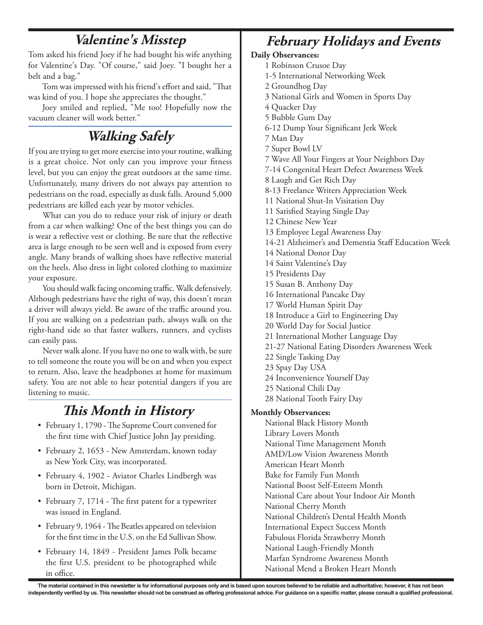### **Valentine's Misstep**

Tom asked his friend Joey if he had bought his wife anything for Valentine's Day. "Of course," said Joey. "I bought her a belt and a bag."

Tom was impressed with his friend's effort and said, "That was kind of you. I hope she appreciates the thought."

Joey smiled and replied, "Me too! Hopefully now the vacuum cleaner will work better."

## **Walking Safely**

If you are trying to get more exercise into your routine, walking is a great choice. Not only can you improve your fitness level, but you can enjoy the great outdoors at the same time. Unfortunately, many drivers do not always pay attention to pedestrians on the road, especially as dusk falls. Around 5,000 pedestrians are killed each year by motor vehicles.

What can you do to reduce your risk of injury or death from a car when walking? One of the best things you can do is wear a reflective vest or clothing. Be sure that the reflective area is large enough to be seen well and is exposed from every angle. Many brands of walking shoes have reflective material on the heels. Also dress in light colored clothing to maximize your exposure.

You should walk facing oncoming traffic. Walk defensively. Although pedestrians have the right of way, this doesn't mean a driver will always yield. Be aware of the traffic around you. If you are walking on a pedestrian path, always walk on the right-hand side so that faster walkers, runners, and cyclists can easily pass.

Never walk alone. If you have no one to walk with, be sure to tell someone the route you will be on and when you expect to return. Also, leave the headphones at home for maximum safety. You are not able to hear potential dangers if you are listening to music.

### **This Month in History**

- February 1, 1790 The Supreme Court convened for the first time with Chief Justice John Jay presiding.
- • February 2, 1653 New Amsterdam, known today as New York City, was incorporated.
- February 4, 1902 Aviator Charles Lindbergh was born in Detroit, Michigan.
- February 7, 1714 The first patent for a typewriter was issued in England.
- February 9, 1964 The Beatles appeared on television for the first time in the U.S. on the Ed Sullivan Show.
- • February 14, 1849 President James Polk became the first U.S. president to be photographed while in office.

## **February Holidays and Events**

### **Daily Observances:**

- 1 Robinson Crusoe Day
- 1-5 International Networking Week
- 2 Groundhog Day
- 3 National Girls and Women in Sports Day
- 4 Quacker Day
- 5 Bubble Gum Day
- 6-12 Dump Your Significant Jerk Week
- 7 Man Day
- 7 Super Bowl LV
- 7 Wave All Your Fingers at Your Neighbors Day
- 7-14 Congenital Heart Defect Awareness Week
- 8 Laugh and Get Rich Day
- 8-13 Freelance Writers Appreciation Week
- 11 National Shut-In Visitation Day
- 11 Satisfied Staying Single Day
- 12 Chinese New Year
- 13 Employee Legal Awareness Day
- 14-21 Alzheimer's and Dementia Staff Education Week
- 14 National Donor Day
- 14 Saint Valentine's Day
- 15 Presidents Day
- 15 Susan B. Anthony Day
- 16 International Pancake Day
- 17 World Human Spirit Day
- 18 Introduce a Girl to Engineering Day
- 20 World Day for Social Justice
- 21 International Mother Language Day
- 21-27 National Eating Disorders Awareness Week
- 22 Single Tasking Day
- 23 Spay Day USA
- 24 Inconvenience Yourself Day
- 25 National Chili Day
- 28 National Tooth Fairy Day

### **Monthly Observances:**

National Black History Month Library Lovers Month National Time Management Month AMD/Low Vision Awareness Month American Heart Month Bake for Family Fun Month National Boost Self-Esteem Month National Care about Your Indoor Air Month National Cherry Month National Children's Dental Health Month International Expect Success Month Fabulous Florida Strawberry Month National Laugh-Friendly Month Marfan Syndrome Awareness Month National Mend a Broken Heart Month

The material contained in this newsletter is for informational purposes only and is based upon sources believed to be reliable and authoritative; however, it has not been independently verified by us. This newsletter should not be construed as offering professional advice. For guidance on a specific matter, please consult a qualified professional.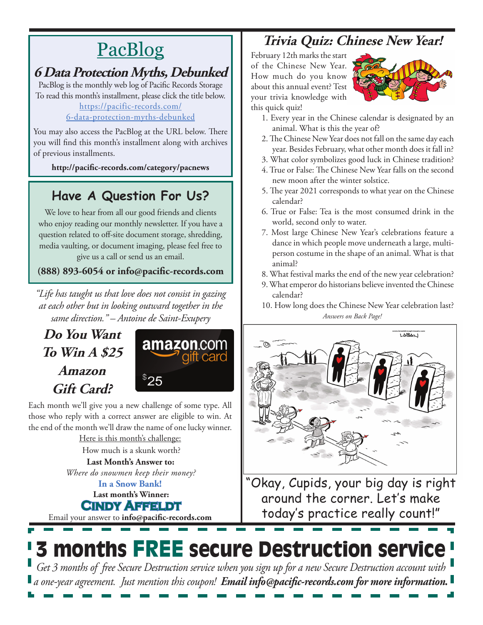# **PacBlog**

### **6 Data Protection Myths, Debunked**

PacBlog is the monthly web log of Pacific Records Storage To read this month's installment, please click the title below[.](http://pacific-records.com/5-advantages-of-a-local-shredding-and-destruction-provider) [https://pacific-records.com/](https://pacific-records.com/6-data-protection-myths-debunked)

### [6-data-protection-myths-debunked](https://pacific-records.com/6-data-protection-myths-debunked)

You may also access the PacBlog at the URL below. There you will find this month's installment along with archives of previous installments.

**http://pacific-records.com/category/pacnews**

### **Have A Question For Us?**

We love to hear from all our good friends and clients who enjoy reading our monthly newsletter. If you have a question related to off-site document storage, shredding, media vaulting, or document imaging, please feel free to give us a call or send us an email.

### **(888) 893-6054 or info@pacific-records.com**

*"Life has taught us that love does not consist in gazing at each other but in looking outward together in the same direction." – Antoine de Saint-Exupery*

## **Do You Want To Win A \$25 Amazon Gift Card?**



Each month we'll give you a new challenge of some type. All those who reply with a correct answer are eligible to win. At the end of the month we'll draw the name of one lucky winner. Here is this month's challenge:

How much is a skunk worth?

**Last Month's Answer to:**  *Where do snowmen keep their money?*

**Last month's Winner: Cindy Affeldt In a Snow Bank!**

Email your answer to **info@pacific-records.com**

### **Trivia Quiz: Chinese New Year!**

February 12th marks the start of the Chinese New Year. How much do you know about this annual event? Test your trivia knowledge with this quick quiz!



- 1. Every year in the Chinese calendar is designated by an animal. What is this the year of?
- 2. The Chinese New Year does not fall on the same day each year. Besides February, what other month does it fall in?
- 3. What color symbolizes good luck in Chinese tradition?
- 4. True or False: The Chinese New Year falls on the second new moon after the winter solstice.
- 5. The year 2021 corresponds to what year on the Chinese calendar?
- 6. True or False: Tea is the most consumed drink in the world, second only to water.
- 7. Most large Chinese New Year's celebrations feature a dance in which people move underneath a large, multiperson costume in the shape of an animal. What is that animal?
- 8. What festival marks the end of the new year celebration?
- 9. What emperor do historians believe invented the Chinese calendar?
- *Answers on Back Page!* 10. How long does the Chinese New Year celebration last?



"Okay, Cupids, your big day is right around the corner. Let's make today's practice really count!"

## 3 months FREE secure Destruction service *Get 3 months of free Secure Destruction service when you sign up for a new Secure Destruction account with a one-year agreement. Just mention this coupon! Email info@pacific-records.com for more information.*